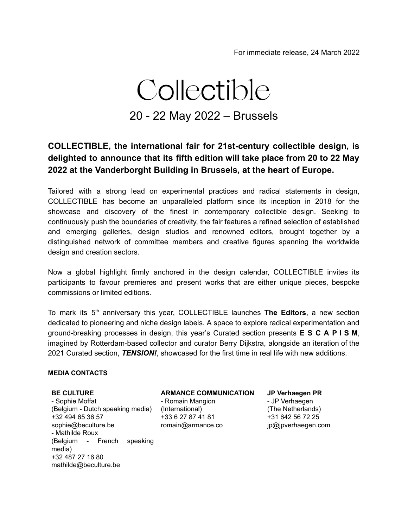# Collectible 20 - 22 May 2022 – Brussels

### **COLLECTIBLE, the international fair for 21st-century collectible design, is delighted to announce that its fifth edition will take place from 20 to 22 May 2022 at the Vanderborght Building in Brussels, at the heart of Europe.**

Tailored with a strong lead on experimental practices and radical statements in design, COLLECTIBLE has become an unparalleled platform since its inception in 2018 for the showcase and discovery of the finest in contemporary collectible design. Seeking to continuously push the boundaries of creativity, the fair features a refined selection of established and emerging galleries, design studios and renowned editors, brought together by a distinguished network of committee members and creative figures spanning the worldwide design and creation sectors.

Now a global highlight firmly anchored in the design calendar, COLLECTIBLE invites its participants to favour premieres and present works that are either unique pieces, bespoke commissions or limited editions.

To mark its 5<sup>th</sup> anniversary this year, COLLECTIBLE launches The Editors, a new section dedicated to pioneering and niche design labels. A space to explore radical experimentation and ground-breaking processes in design, this year's Curated section presents **E S C A P I S M**, imagined by Rotterdam-based collector and curator Berry Dijkstra, alongside an iteration of the 2021 Curated section, *TENSION!*, showcased for the first time in real life with new additions.

#### **MEDIA CONTACTS**

#### **BE CULTURE**

- Sophie Moffat (Belgium - Dutch speaking media) (International) +32 494 65 36 57 sophie@beculture.be - Mathilde Roux (Belgium - French speaking media) +32 487 27 16 80 mathilde@beculture.be

#### **ARMANCE COMMUNICATION**

- Romain Mangion +33 6 27 87 41 81 romain@armance.co **JP Verhaegen PR**

- JP Verhaegen (The Netherlands) +31 642 56 72 25 jp@jpverhaegen.com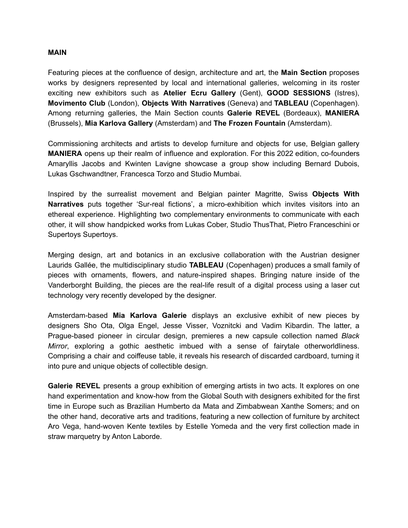#### **MAIN**

Featuring pieces at the confluence of design, architecture and art, the **Main Section** proposes works by designers represented by local and international galleries, welcoming in its roster exciting new exhibitors such as **Atelier Ecru Gallery** (Gent), **GOOD SESSIONS** (Istres), **Movimento Club** (London), **Objects With Narratives** (Geneva) and **TABLEAU** (Copenhagen). Among returning galleries, the Main Section counts **Galerie REVEL** (Bordeaux), **MANIERA** (Brussels), **Mia Karlova Gallery** (Amsterdam) and **The Frozen Fountain** (Amsterdam).

Commissioning architects and artists to develop furniture and objects for use, Belgian gallery **MANIERA** opens up their realm of influence and exploration. For this 2022 edition, co-founders Amaryllis Jacobs and Kwinten Lavigne showcase a group show including Bernard Dubois, Lukas Gschwandtner, Francesca Torzo and Studio Mumbai.

Inspired by the surrealist movement and Belgian painter Magritte, Swiss **Objects With Narratives** puts together 'Sur-real fictions', a micro-exhibition which invites visitors into an ethereal experience. Highlighting two complementary environments to communicate with each other, it will show handpicked works from Lukas Cober, Studio ThusThat, Pietro Franceschini or Supertoys Supertoys.

Merging design, art and botanics in an exclusive collaboration with the Austrian designer Laurids Gallée, the multidisciplinary studio **TABLEAU** (Copenhagen) produces a small family of pieces with ornaments, flowers, and nature-inspired shapes. Bringing nature inside of the Vanderborght Building, the pieces are the real-life result of a digital process using a laser cut technology very recently developed by the designer.

Amsterdam-based **Mia Karlova Galerie** displays an exclusive exhibit of new pieces by designers Sho Ota, Olga Engel, Jesse Visser, Voznitcki and Vadim Kibardin. The latter, a Prague-based pioneer in circular design, premieres a new capsule collection named *Black Mirror*, exploring a gothic aesthetic imbued with a sense of fairytale otherworldliness. Comprising a chair and coiffeuse table, it reveals his research of discarded cardboard, turning it into pure and unique objects of collectible design.

**Galerie REVEL** presents a group exhibition of emerging artists in two acts. It explores on one hand experimentation and know-how from the Global South with designers exhibited for the first time in Europe such as Brazilian Humberto da Mata and Zimbabwean Xanthe Somers; and on the other hand, decorative arts and traditions, featuring a new collection of furniture by architect Aro Vega, hand-woven Kente textiles by Estelle Yomeda and the very first collection made in straw marquetry by Anton Laborde.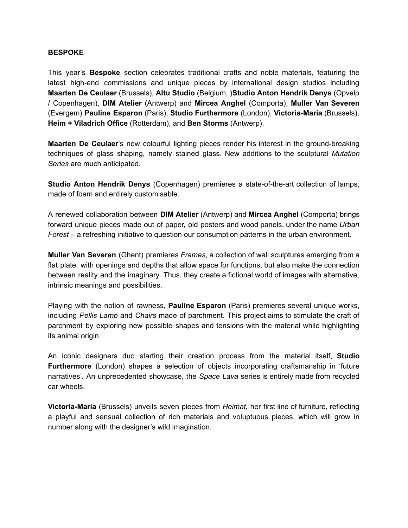#### **BESPOKE**

This year's **Bespoke** section celebrates traditional crafts and noble materials, featuring the latest high-end commissions and unique pieces by international design studios including **Maarten De Ceulaer** (Brussels), **Altu Studio** (Belgium, )**Studio Anton Hendrik Denys** (Opvelp / Copenhagen), **DIM Atelier** (Antwerp) and **Mircea Anghel** (Comporta), **Muller Van Severen** (Evergem) **Pauline Esparon** (Paris), **Studio Furthermore** (London), **Victoria-Maria** (Brussels), **Heim + Viladrich Office** (Rotterdam), and **Ben Storms** (Antwerp).

**Maarten De Ceulaer**'s new colourful lighting pieces render his interest in the ground-breaking techniques of glass shaping, namely stained glass. New additions to the sculptural *Mutation Series* are much anticipated.

**Studio Anton Hendrik Denys** (Copenhagen) premieres a state-of-the-art collection of lamps, made of foam and entirely customisable.

A renewed collaboration between **DIM Atelier** (Antwerp) and **Mircea Anghel** (Comporta) brings forward unique pieces made out of paper, old posters and wood panels, under the name *Urban Forest* – a refreshing initiative to question our consumption patterns in the urban environment.

**Muller Van Severen** (Ghent) premieres *Frames*, a collection of wall sculptures emerging from a flat plate, with openings and depths that allow space for functions, but also make the connection between reality and the imaginary. Thus, they create a fictional world of images with alternative, intrinsic meanings and possibilities.

Playing with the notion of rawness, **Pauline Esparon** (Paris) premieres several unique works, including *Pellis Lamp* and *Chairs* made of parchment. This project aims to stimulate the craft of parchment by exploring new possible shapes and tensions with the material while highlighting its animal origin.

An iconic designers duo starting their creation process from the material itself, **Studio Furthermore** (London) shapes a selection of objects incorporating craftsmanship in 'future narratives'. An unprecedented showcase, the *Space Lava* series is entirely made from recycled car wheels.

**Victoria-Maria** (Brussels) unveils seven pieces from *Heimat*, her first line of furniture, reflecting a playful and sensual collection of rich materials and voluptuous pieces, which will grow in number along with the designer's wild imagination.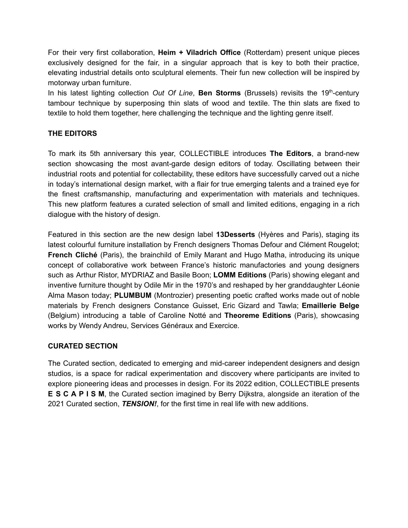For their very first collaboration, **Heim + Viladrich Office** (Rotterdam) present unique pieces exclusively designed for the fair, in a singular approach that is key to both their practice, elevating industrial details onto sculptural elements. Their fun new collection will be inspired by motorway urban furniture.

In his latest lighting collection Out Of Line, Ben Storms (Brussels) revisits the 19<sup>th</sup>-century tambour technique by superposing thin slats of wood and textile. The thin slats are fixed to textile to hold them together, here challenging the technique and the lighting genre itself.

#### **THE EDITORS**

To mark its 5th anniversary this year, COLLECTIBLE introduces **The Editors**, a brand-new section showcasing the most avant-garde design editors of today. Oscillating between their industrial roots and potential for collectability, these editors have successfully carved out a niche in today's international design market, with a flair for true emerging talents and a trained eye for the finest craftsmanship, manufacturing and experimentation with materials and techniques. This new platform features a curated selection of small and limited editions, engaging in a rich dialogue with the history of design.

Featured in this section are the new design label **13Desserts** (Hyères and Paris), staging its latest colourful furniture installation by French designers Thomas Defour and Clément Rougelot; **French Cliché** (Paris), the brainchild of Emily Marant and Hugo Matha, introducing its unique concept of collaborative work between France's historic manufactories and young designers such as Arthur Ristor, MYDRIAZ and Basile Boon; **LOMM Editions** (Paris) showing elegant and inventive furniture thought by Odile Mir in the 1970's and reshaped by her granddaughter Léonie Alma Mason today; **PLUMBUM** (Montrozier) presenting poetic crafted works made out of noble materials by French designers Constance Guisset, Eric Gizard and Tawla; **Emaillerie Belge** (Belgium) introducing a table of Caroline Notté and **[Theoreme](https://www.theoremeeditions.com/) Editions** (Paris), showcasing works by Wendy Andreu, Services Généraux and Exercice.

#### **CURATED SECTION**

The Curated section, dedicated to emerging and mid-career independent designers and design studios, is a space for radical experimentation and discovery where participants are invited to explore pioneering ideas and processes in design. For its 2022 edition, COLLECTIBLE presents **E S C A P I S M**, the Curated section imagined by Berry Dijkstra, alongside an iteration of the 2021 Curated section, *TENSION!*, for the first time in real life with new additions.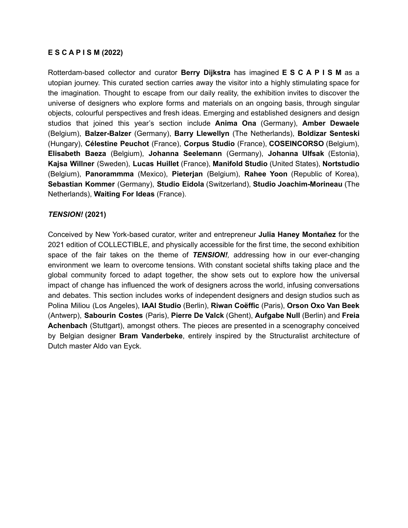#### **E S C A P I S M (2022)**

Rotterdam-based collector and curator **Berry Dijkstra** has imagined **E S C A P I S M** as a utopian journey. This curated section carries away the visitor into a highly stimulating space for the imagination. Thought to escape from our daily reality, the exhibition invites to discover the universe of designers who explore forms and materials on an ongoing basis, through singular objects, colourful perspectives and fresh ideas. Emerging and established designers and design studios that joined this year's section include **Anima Ona** (Germany), **Amber Dewaele** (Belgium), **Balzer-Balzer** (Germany), **Barry Llewellyn** (The Netherlands), **Boldizar Senteski** (Hungary), **Célestine Peuchot** (France), **Corpus Studio** (France), **COSEINCORSO** (Belgium), **Elisabeth Baeza** (Belgium), **Johanna Seelemann** (Germany), **Johanna Ulfsak** (Estonia), **Kajsa Willner** (Sweden), **Lucas Huillet** (France), **Manifold Studio** (United States), **Nortstudio** (Belgium), **Panorammma** (Mexico), **Pieterjan** (Belgium), **Rahee Yoon** (Republic of Korea), **Sebastian Kommer** (Germany), **Studio Eidola** (Switzerland), **Studio Joachim-Morineau** (The Netherlands), **Waiting For Ideas** (France).

#### *TENSION!* **(2021)**

Conceived by New York-based curator, writer and entrepreneur **Julia Haney Montañez** for the 2021 edition of COLLECTIBLE, and physically accessible for the first time, the second exhibition space of the fair takes on the theme of *TENSION!,* addressing how in our ever-changing environment we learn to overcome tensions. With constant societal shifts taking place and the global community forced to adapt together, the show sets out to explore how the universal impact of change has influenced the work of designers across the world, infusing conversations and debates. This section includes works of independent designers and design studios such as Polina Miliou (Los Angeles), **IAAI Studio** (Berlin), **Riwan Coëffic** (Paris), **Orson Oxo Van Beek** (Antwerp), **Sabourin Costes** (Paris), **Pierre De Valck** (Ghent), **Aufgabe Null** (Berlin) and **Freia Achenbach** (Stuttgart), amongst others. The pieces are presented in a scenography conceived by Belgian designer **Bram Vanderbeke**, entirely inspired by the Structuralist architecture of Dutch master Aldo van Eyck.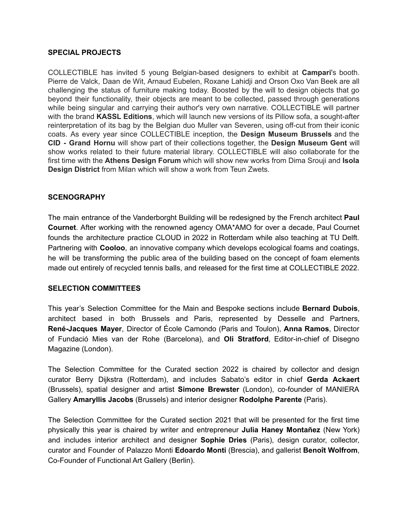#### **SPECIAL PROJECTS**

COLLECTIBLE has invited 5 young Belgian-based designers to exhibit at **Campari**'s booth. Pierre de Valck, Daan de Wit, Arnaud Eubelen, Roxane Lahidji and Orson Oxo Van Beek are all challenging the status of furniture making today. Boosted by the will to design objects that go beyond their functionality, their objects are meant to be collected, passed through generations while being singular and carrying their author's very own narrative. COLLECTIBLE will partner with the brand **KASSL Editions**, which will launch new versions of its Pillow sofa, a sought-after reinterpretation of its bag by the Belgian duo Muller van Severen, using off-cut from their iconic coats. As every year since COLLECTIBLE inception, the **Design Museum Brussels** and the **CID - Grand Hornu** will show part of their collections together, the **Design Museum Gent** will show works related to their future material library. COLLECTIBLE will also collaborate for the first time with the **Athens Design Forum** which will show new works from Dima Srouji and **Isola Design District** from Milan which will show a work from Teun Zwets.

#### **SCENOGRAPHY**

The main entrance of the Vanderborght Building will be redesigned by the French architect **Paul Cournet**. After working with the renowned agency OMA\*AMO for over a decade, Paul Cournet founds the architecture practice CLOUD in 2022 in Rotterdam while also teaching at TU Delft. Partnering with **Cooloo**, an innovative company which develops ecological foams and coatings, he will be transforming the public area of the building based on the concept of foam elements made out entirely of recycled tennis balls, and released for the first time at COLLECTIBLE 2022.

#### **SELECTION COMMITTEES**

This year's Selection Committee for the Main and Bespoke sections include **Bernard Dubois**, architect based in both Brussels and Paris, represented by Desselle and Partners, **René-Jacques Mayer**, Director of École Camondo (Paris and Toulon), **Anna Ramos**, Director of Fundació Mies van der Rohe (Barcelona), and **Oli Stratford**, Editor-in-chief of Disegno Magazine (London).

The Selection Committee for the Curated section 2022 is chaired by collector and design curator Berry Dijkstra (Rotterdam), and includes Sabato's editor in chief **Gerda Ackaert** (Brussels), spatial designer and artist **Simone Brewster** (London), co-founder of MANIERA Gallery **Amaryllis Jacobs** (Brussels) and interior designer **Rodolphe Parente** (Paris).

The Selection Committee for the Curated section 2021 that will be presented for the first time physically this year is chaired by writer and entrepreneur **Julia Haney Montañez** (New York) and includes interior architect and designer **Sophie Dries** (Paris), design curator, collector, curator and Founder of Palazzo Monti **Edoardo Monti** (Brescia), and gallerist **Benoît Wolfrom**, Co-Founder of Functional Art Gallery (Berlin).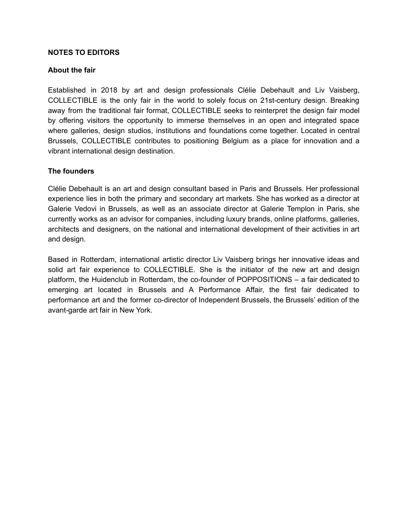#### **NOTES TO EDITORS**

#### **About the fair**

Established in 2018 by art and design professionals Clélie Debehault and Liv Vaisberg, COLLECTIBLE is the only fair in the world to solely focus on 21st-century design. Breaking away from the traditional fair format, COLLECTIBLE seeks to reinterpret the design fair model by offering visitors the opportunity to immerse themselves in an open and integrated space where galleries, design studios, institutions and foundations come together. Located in central Brussels, COLLECTIBLE contributes to positioning Belgium as a place for innovation and a vibrant international design destination.

#### **The founders**

Clélie Debehault is an art and design consultant based in Paris and Brussels. Her professional experience lies in both the primary and secondary art markets. She has worked as a director at Galerie Vedovi in Brussels, as well as an associate director at Galerie Templon in Paris, she currently works as an advisor for companies, including luxury brands, online platforms, galleries, architects and designers, on the national and international development of their activities in art and design.

Based in Rotterdam, international artistic director Liv Vaisberg brings her innovative ideas and solid art fair experience to COLLECTIBLE. She is the initiator of the new art and design platform, the Huidenclub in Rotterdam, the co-founder of POPPOSITIONS – a fair dedicated to emerging art located in Brussels and A Performance Affair, the first fair dedicated to performance art and the former co-director of Independent Brussels, the Brussels' edition of the avant-garde art fair in New York.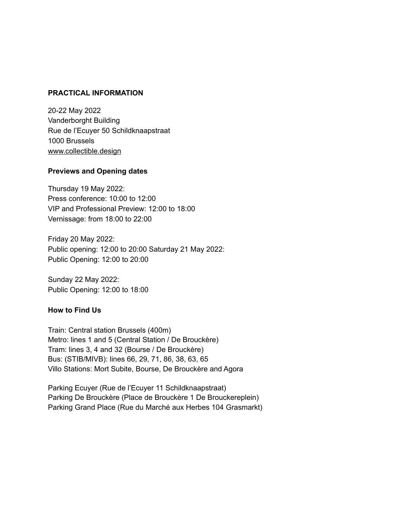#### **PRACTICAL INFORMATION**

20-22 May 2022 Vanderborght Building Rue de l'Ecuyer 50 Schildknaapstraat 1000 Brussels [www.collectible.design](http://www.collectible.design)

#### **Previews and Opening dates**

Thursday 19 May 2022: Press conference: 10:00 to 12:00 VIP and Professional Preview: 12:00 to 18:00 Vernissage: from 18:00 to 22:00

Friday 20 May 2022: Public opening: 12:00 to 20:00 Saturday 21 May 2022: Public Opening: 12:00 to 20:00

Sunday 22 May 2022: Public Opening: 12:00 to 18:00

#### **How to Find Us**

Train: Central station Brussels (400m) Metro: lines 1 and 5 (Central Station / De Brouckère) Tram: lines 3, 4 and 32 (Bourse / De Brouckère) Bus: (STIB/MIVB): lines 66, 29, 71, 86, 38, 63, 65 Villo Stations: Mort Subite, Bourse, De Brouckère and Agora

Parking Ecuyer (Rue de l'Ecuyer 11 Schildknaapstraat) Parking De Brouckère (Place de Brouckère 1 De Brouckereplein) Parking Grand Place (Rue du Marché aux Herbes 104 Grasmarkt)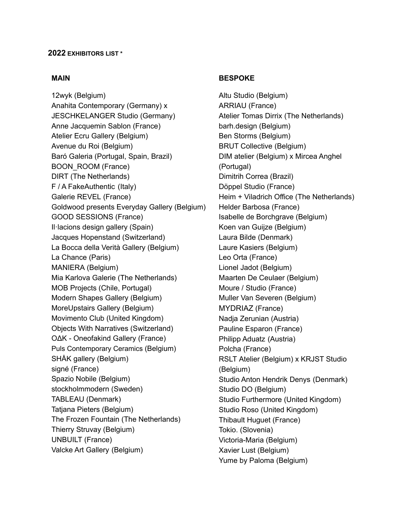#### **2022 EXHIBITORS LIST \***

#### **MAIN**

[12wyk](https://www.12wyk.com/) (Belgium) Anahita [Contemporary](https://www.anahita-contemporary.com/) (Germany) x [JESCHKELANGER](https://jeschkelanger.de/) Studio (Germany) Anne [Jacquemin](https://www.annejacqueminsablon.fr/) Sablon (France) Atelier Ecru [Gallery](https://www.weareatelierecru.com/) (Belgium) [Avenue](https://avenueduroi.com/) du Roi (Belgium) Baró [Galeria](https://barogaleria.com/) (Portugal, Spain, Brazil) [BOON\\_ROOM](https://boonparis.com/boon_room) (France) [DIRT](https://thedirt.nl/) (The Netherlands) F / A [FakeAuthentic](https://functionalart.biz/) (Italy) Galerie [REVEL](https://www.galerierevel.com/) (France) [Goldwood](https://goldwoodbyboris.com) presents Everyday Gallery (Belgium) GOOD [SESSIONS](https://good-sessions.com/fr) (France) [Il·lacions](https://www.illacions.com/) design gallery (Spain) Jacques [Hopenstand](https://www.jhopenstand.ch/en/) (Switzerland) La Bocca della Verità [Gallery](http://laboccadellaverita.gallery/) (Belgium) La Chance (Paris) [MANIERA](https://maniera.be/) (Belgium) Mia [Karlova](https://miakarlova.com/en/) Galerie (The Netherlands) MOB [Projects](https://www.mobprojects.com) (Chile, Portugal) Modern [Shapes](https://modernshapes.com/) Gallery (Belgium) [MoreUpstairs](https://www.moreupstairs.com/) Gallery (Belgium) [Movimento](https://www.movimento.club/) Club (United Kingdom) Objects With [Narratives](https://objectswithnarratives.com/) (Switzerland) OΔK - [Oneofakind](https://www.oneofakind.fr/) Gallery (France) [Puls Contemporary Ceramics](https://www.pulsceramics.com/) (Belgium) SHÅK [gallery](https://shakgallery.com/) (Belgium) [signé](https://www.galeriesigne.com/) (France) [Spazio](https://spazionobile.com/) Nobile (Belgium) [stockholmmodern](https://www.stockholmmodern.se/) (Sweden) [TABLEAU](https://tableau-cph.com/) (Denmark) [Tatjana](http://www.tatjanapieters.com) Pieters (Belgium) The Frozen [Fountain](https://frozenfountain.com/) (The Netherlands) Thierry [Struvay](https://www.instagram.com/thierry_struvay_/?hl=fr) (Belgium) [UNBUILT](http://un-built.com) (France) Valcke Art [Gallery](https://www.valcke-artgallery.be/) (Belgium)

#### **BESPOKE**

Altu Studio (Belgium) [ARRIAU](https://arriaudesign.com/en) (France) Atelier [Tomas](https://ateliertomasdirrix.com/) Dirrix (The Netherlands) [barh.design](https://barh.design/fr_BE/) (Belgium) Ben [Storms](https://www.benstorms.be/) (Belgium) BRUT [Collective](https://brut-collective.be/) (Belgium) DIM [atelier](http://www.dimatelier.com/) (Belgium) x Mircea [Anghel](https://www.cabana.studio/) (Portugal) [Dimitrih](http://dimitrihcorrea.com/) Correa (Brazil) [Döppel](https://doppelstudio.fr/en) Studio (France) [Heim](https://laurianeheim.com/) + [Viladrich](https://johanviladrich.com/) Office (The Netherlands) Helder [Barbosa](https://helderbarbosa.com) (France) Isabelle de [Borchgrave](https://isabelledeborchgrave.com/pages/biography) (Belgium) Koen van [Guijze](https://www.koenvanguijze.com/lighting/) (Belgium) [Laura](https://laurabilde.com/) Bilde (Denmark) Laure [Kasiers](https://laurekasiers.com/) (Belgium) Leo Orta (France) Lionel [Jadot](http://www.lioneljadot.com/) (Belgium) [Maarten](http://www.maartendeceulaer.com) De Ceulaer (Belgium) Moure / [Studio](https://www.mourestudio.com/) (France) Muller Van [Severen](http://www.mullervanseveren.be) (Belgium) [MYDRIAZ](https://mydriaz-paris.com/fr) (France) Nadja [Zerunian](http://www.nadjazerunian.com) (Austria) Pauline [Esparon](http://www.paulinesparon.com) (France) Philipp [Aduatz](http://www.philippaduatz.com) (Austria) [Polcha](http://polcha.fr) (France) [RSLT](https://www.rslt-atelier.com/) Atelier (Belgium) x [KRJST](https://www.krjststudio.com/) Studio (Belgium) Studio Anton [Hendrik](http://www.antonhendrikdenys.com) Denys (Denmark) [Studio](http://www.studiodo.be) DO (Belgium) Studio [Furthermore](https://studiofurthermore.com/Studio-Furthermore) (United Kingdom) [Studio](http://www.studio-roso.com/) Roso (United Kingdom) [Thibault](https://thibaulthuguet.com/en) Huguet (France) [Tokio.](https://www.tokiotokio.com/) (Slovenia) [Victoria-Maria](https://victoria-maria.com/) (Belgium) [Xavier](http://www.xavierlust.com/) Lust (Belgium) Yume by [Paloma](https://yumebypaloma.com/) (Belgium)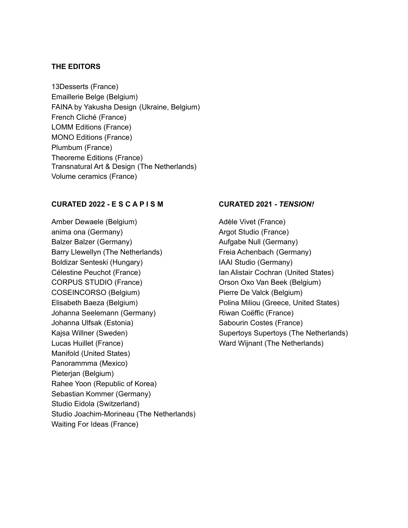#### **THE EDITORS**

[13Desserts](https://www.13desserts.fr/) (France) Emaillerie Belge (Belgium) FAINA by [Yakusha](https://faina.design/) Design (Ukraine, Belgium) [French](https://frenchcliche.com/fr) Cliché (France) LOMM [Editions](https://www.lommeditions.com/) (France) MONO [Editions](https://mono-editions.com/) (France) [Plumbum](https://www.plumbum.fr/) (France) [Theoreme](https://www.theoremeeditions.com/) Editions (France) [Transnatural](https://www.transnaturallabel.com/) Art & Design (The Netherlands) Volume [ceramics](https://volumeceramics.com/) (France)

#### **CURATED 2022 - E S C A P I S M**

Amber [Dewaele](http://www.amberdewaele.com) (Belgium) [anima](https://animaona.com/) ona (Germany) [Balzer](https://www.yanikbalzer.com/) Balzer (Germany) Barry [Llewellyn](http://barryllewellyn.com/) (The Netherlands) Boldizar [Senteski](http://www.boldizarsenteski.com) (Hungary) [Célestine](http://celestinepeuchot.fr/) Peuchot (France) [CORPUS](https://corpus.studio/) STUDIO (France) [COSEINCORSO](http://www.coseincorso.com) (Belgium) [Elisabeth](http://malalechedesign.com/) Baeza (Belgium) Johanna [Seelemann](https://johannaseelemann.com/) (Germany) [Johanna](https://www.ulfsak.com/) Ulfsak (Estonia) Kajsa [Willner](https://www.kajsawillner.com/) (Sweden) Lucas [Huillet](https://www.lucashuillet.com/) (France) [Manifold](https://manifold.tv/) (United States) [Panorammma](https://panorammma.com/) (Mexico) [Pieterjan](http://www.pieterjan.biz) (Belgium) [Rahee](http://raheeyoon.com/) Yoon (Republic of Korea) [Sebastian](https://www.instagram.com/sebastian.kommer/) Kommer (Germany) [Studio](https://studioeidola.ch/Info) Eidola (Switzerland) Studio [Joachim-Morineau](https://studiojoachimmorineau.com/) (The Netherlands) [Waiting](https://www.waiting-for-ideas.com/) For Ideas (France)

#### **CURATED 2021 -** *TENSION!*

[Adèle](https://adelevivet.com/) Vivet (France) Argot [Studio](https://argotstudio.com/) (France) [Aufgabe](https://aufgabenull.de/) Null (Germany) Freia [Achenbach](http://freia-achenbach.com/about/) (Germany) IAAI [Studio](https://iaaidesign.com/) (Germany) Ian Alistair [Cochran](https://iancochran.com/) (United States) [Orson](https://orsonoxovanbeek.com/) Oxo Van Beek (Belgium) [Pierre](https://www.pierredevalck.be/) De Valck (Belgium) [Polina](https://www.polinamiliou.me/) Miliou (Greece, United States) Riwan [Coëffic](https://riwancoeffic.net/) (France) [Sabourin](https://sabourincostes.com/) Costes (France) Supertoys [Supertoys](https://www.supertoyssupertoys.com/) (The Netherlands) Ward [Wijnant](https://art.wardwijnant.nl/) (The Netherlands)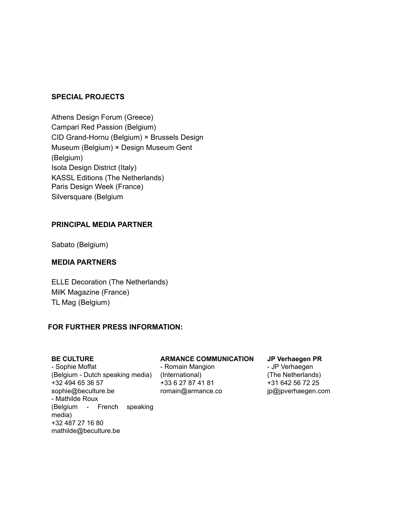#### **SPECIAL PROJECTS**

[Athens](https://athensdesignforum.com/) Design Forum (Greece) [Campari](https://www.campari.com/) Red Passion (Belgium) CID [Grand-Hornu](http://www.cid-grand-hornu.be/en/) (Belgium) × [Brussels](https://designmuseum.brussels/) Design [Museum](https://designmuseum.brussels/) (Belgium) × Design [Museum](https://www.designmuseumgent.be/en/) Gent (Belgium) Isola [Design](https://isola.design/) District (Italy) KASSL Editions (The Netherlands) Paris [Design](https://www.maison-objet.com/paris-design-week) Week (France) [Silversquare](https://silversquare.eu/fr) (Belgium

#### **PRINCIPAL MEDIA PARTNER**

Sabato (Belgium)

#### **MEDIA PARTNERS**

ELLE [Decoration](https://www.elle.com/nl/interieur/) (The Netherlands) MilK [Magazine](https://www.milkmagazine.net/) (France) TL [Mag](https://tlmagazine.com/) (Belgium)

#### **FOR FURTHER PRESS INFORMATION:**

#### **BE CULTURE**

- Sophie Moffat (Belgium - Dutch speaking media) (International) +32 494 65 36 57 sophie@beculture.be - Mathilde Roux (Belgium - French speaking media) +32 487 27 16 80 mathilde@beculture.be

#### **ARMANCE COMMUNICATION**

- Romain Mangion +33 6 27 87 41 81 romain@armance.co

#### **JP Verhaegen PR**

- JP Verhaegen (The Netherlands) +31 642 56 72 25 jp@jpverhaegen.com